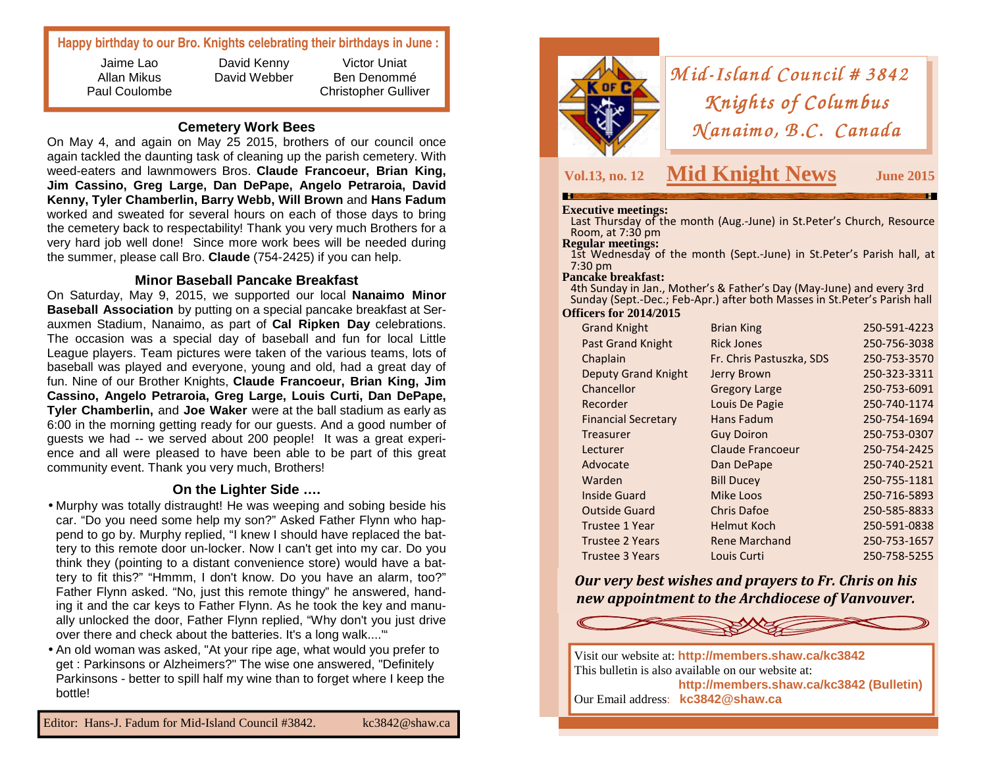# **Happy birthday to our Bro. Knights celebrating their birthdays in June :**

Jaime Lao Allan Mikus Paul Coulombe

David Kenny David Webber

Victor Uniat Ben Denommé Christopher Gulliver

# **Cemetery Work Bees**

 On May 4, and again on May 25 2015, brothers of our council once again tackled the daunting task of cleaning up the parish cemetery. With weed-eaters and lawnmowers Bros. **Claude Francoeur, Brian King, Jim Cassino, Greg Large, Dan DePape, Angelo Petraroia, David Kenny, Tyler Chamberlin, Barry Webb, Will Brown** and **Hans Fadum**  worked and sweated for several hours on each of those days to bring the cemetery back to respectability! Thank you very much Brothers for a very hard job well done! Since more work bees will be needed during the summer, please call Bro. **Claude** (754-2425) if you can help.

## **Minor Baseball Pancake Breakfast**

 On Saturday, May 9, 2015, we supported our local **Nanaimo Minor Baseball Association** by putting on a special pancake breakfast at Serauxmen Stadium, Nanaimo, as part of **Cal Ripken Day** celebrations. The occasion was a special day of baseball and fun for local Little League players. Team pictures were taken of the various teams, lots of baseball was played and everyone, young and old, had a great day of fun. Nine of our Brother Knights, **Claude Francoeur, Brian King, Jim Cassino, Angelo Petraroia, Greg Large, Louis Curti, Dan DePape, Tyler Chamberlin,** and **Joe Waker** were at the ball stadium as early as 6:00 in the morning getting ready for our guests. And a good number of guests we had -- we served about 200 people! It was a great experience and all were pleased to have been able to be part of this great community event. Thank you very much, Brothers!

# **On the Lighter Side ….**

- Murphy was totally distraught! He was weeping and sobing beside his car. "Do you need some help my son?" Asked Father Flynn who happend to go by. Murphy replied, "I knew I should have replaced the battery to this remote door un-locker. Now I can't get into my car. Do you think they (pointing to a distant convenience store) would have a battery to fit this?" "Hmmm, I don't know. Do you have an alarm, too?" Father Flynn asked. "No, just this remote thingy" he answered, handing it and the car keys to Father Flynn. As he took the key and manually unlocked the door, Father Flynn replied, "Why don't you just drive over there and check about the batteries. It's a long walk...."
- An old woman was asked, "At your ripe age, what would you prefer to get : Parkinsons or Alzheimers?" The wise one answered, "Definitely Parkinsons - better to spill half my wine than to forget where I keep the bottle!



# *Mid-Island Council # 3842*<br>*Knights of Columbus Knights of Columbus<br>(anaimo, B.C. Canadı <sup>N</sup> anaim o, B .C. Canada No, Canada*

**Vol.13, no. 12 Mid Knight News**

**June 2015** 

**Executive meetings:** Last Thursday of the month (Aug.-June) in St.Peter's Church, Resource Room, at 7:30 pm<br>**Regular meetings:** 

1st Wednesday of the month (Sept.-June) in St.Peter's Parish hall, at 7:30 pm

### **Pancake breakfast:**

 4th Sunday in Jan., Mother's & Father's Day (May-June) and every 3rd Sunday (Sept.-Dec.; Feb-Apr.) after both Masses in St.Peter's Parish hall **Officers for 2014/2015** 

| <b>Grand Knight</b>        | <b>Brian King</b>        | 250-591-4223 |
|----------------------------|--------------------------|--------------|
| <b>Past Grand Knight</b>   | <b>Rick Jones</b>        | 250-756-3038 |
| Chaplain                   | Fr. Chris Pastuszka, SDS | 250-753-3570 |
| <b>Deputy Grand Knight</b> | Jerry Brown              | 250-323-3311 |
| Chancellor                 | <b>Gregory Large</b>     | 250-753-6091 |
| Recorder                   | Louis De Pagie           | 250-740-1174 |
| <b>Financial Secretary</b> | Hans Fadum               | 250-754-1694 |
| Treasurer                  | <b>Guy Doiron</b>        | 250-753-0307 |
| Lecturer                   | <b>Claude Francoeur</b>  | 250-754-2425 |
| Advocate                   | Dan DePape               | 250-740-2521 |
| Warden                     | <b>Bill Ducey</b>        | 250-755-1181 |
| <b>Inside Guard</b>        | Mike Loos                | 250-716-5893 |
| <b>Outside Guard</b>       | <b>Chris Dafoe</b>       | 250-585-8833 |
| Trustee 1 Year             | <b>Helmut Koch</b>       | 250-591-0838 |
| <b>Trustee 2 Years</b>     | <b>Rene Marchand</b>     | 250-753-1657 |
| <b>Trustee 3 Years</b>     | Louis Curti              | 250-758-5255 |
|                            |                          |              |

*Our very best wishes and prayers to Fr. Chris on his new appointment to the Archdiocese of Vanvouver.*



Visit our website at: **http://members.shaw.ca/kc3842** This bulletin is also available on our website at: **http://members.shaw.ca/kc3842 (Bulletin)** Our Email address: **kc3842@shaw.ca**